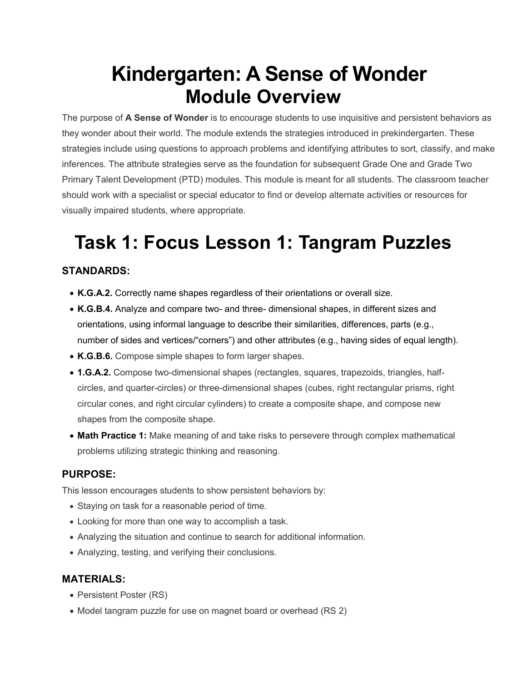# **Kindergarten: A Sense of Wonder Module Overview**

The purpose of **A Sense of Wonder** is to encourage students to use inquisitive and persistent behaviors as they wonder about their world. The module extends the strategies introduced in prekindergarten. These strategies include using questions to approach problems and identifying attributes to sort, classify, and make inferences. The attribute strategies serve as the foundation for subsequent Grade One and Grade Two Primary Talent Development (PTD) modules. This module is meant for all students. The classroom teacher should work with a specialist or special educator to find or develop alternate activities or resources for visually impaired students, where appropriate.

# **Task 1: Focus Lesson 1: Tangram Puzzles**

## **STANDARDS:**

- **K.G.A.2.** Correctly name shapes regardless of their orientations or overall size.
- **K.G.B.4.** Analyze and compare two- and three- dimensional shapes, in different sizes and orientations, using informal language to describe their similarities, differences, parts (e.g., number of sides and vertices/"corners") and other attributes (e.g., having sides of equal length).
- **K.G.B.6.** Compose simple shapes to form larger shapes.
- **1.G.A.2.** Compose two-dimensional shapes (rectangles, squares, trapezoids, triangles, halfcircles, and quarter-circles) or three-dimensional shapes (cubes, right rectangular prisms, right circular cones, and right circular cylinders) to create a composite shape, and compose new shapes from the composite shape.
- **Math Practice 1:** Make meaning of and take risks to persevere through complex mathematical problems utilizing strategic thinking and reasoning.

#### **PURPOSE:**

This lesson encourages students to show persistent behaviors by:

- Staying on task for a reasonable period of time.
- Looking for more than one way to accomplish a task.
- Analyzing the situation and continue to search for additional information.
- Analyzing, testing, and verifying their conclusions.

#### **MATERIALS:**

- Persistent Poster (RS)
- Model tangram puzzle for use on magnet board or overhead (RS 2)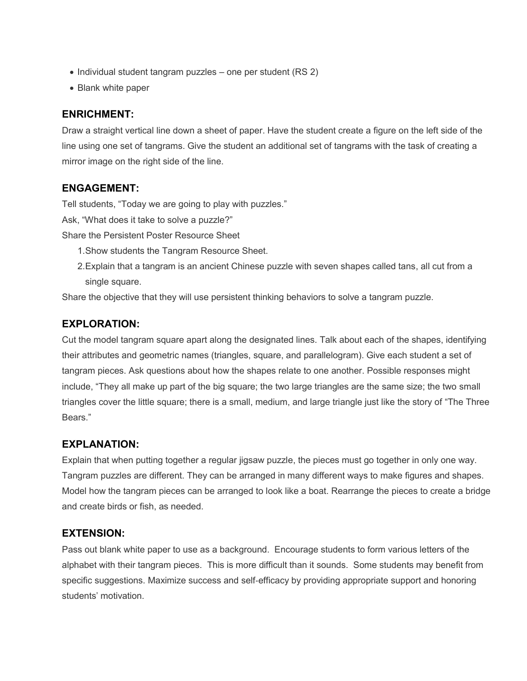- $\bullet$  Individual student tangram puzzles one per student (RS 2)
- Blank white paper

#### **ENRICHMENT:**

Draw a straight vertical line down a sheet of paper. Have the student create a figure on the left side of the line using one set of tangrams. Give the student an additional set of tangrams with the task of creating a mirror image on the right side of the line.

#### **ENGAGEMENT:**

Tell students, "Today we are going to play with puzzles."

Ask, "What does it take to solve a puzzle?"

Share the Persistent Poster Resource Sheet

- 1. Show students the Tangram Resource Sheet.
- 2. Explain that a tangram is an ancient Chinese puzzle with seven shapes called tans, all cut from a single square.

Share the objective that they will use persistent thinking behaviors to solve a tangram puzzle.

#### **EXPLORATION:**

Cut the model tangram square apart along the designated lines. Talk about each of the shapes, identifying their attributes and geometric names (triangles, square, and parallelogram). Give each student a set of tangram pieces. Ask questions about how the shapes relate to one another. Possible responses might include, "They all make up part of the big square; the two large triangles are the same size; the two small triangles cover the little square; there is a small, medium, and large triangle just like the story of "The Three Bears."

#### **EXPLANATION:**

Explain that when putting together a regular jigsaw puzzle, the pieces must go together in only one way. Tangram puzzles are different. They can be arranged in many different ways to make figures and shapes. Model how the tangram pieces can be arranged to look like a boat. Rearrange the pieces to create a bridge and create birds or fish, as needed.

#### **EXTENSION:**

Pass out blank white paper to use as a background. Encourage students to form various letters of the alphabet with their tangram pieces. This is more difficult than it sounds. Some students may benefit from specific suggestions. Maximize success and self-efficacy by providing appropriate support and honoring students' motivation.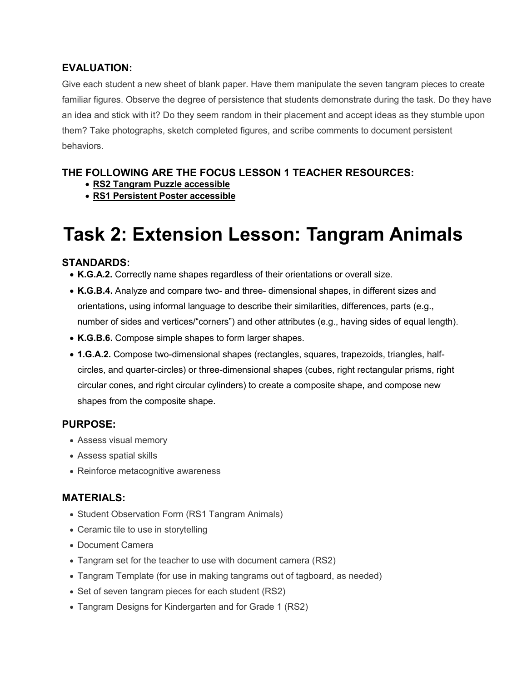#### **EVALUATION:**

Give each student a new sheet of blank paper. Have them manipulate the seven tangram pieces to create familiar figures. Observe the degree of persistence that students demonstrate during the task. Do they have an idea and stick with it? Do they seem random in their placement and accept ideas as they stumble upon them? Take photographs, sketch completed figures, and scribe comments to document persistent behaviors.

## **THE FOLLOWING ARE THE FOCUS LESSON 1 TEACHER RESOURCES:**

- **[RS2 Tangram Puzzle accessible](https://www.oercommons.org/courseware/related-resource/13003/download)**
- **[RS1 Persistent Poster accessible](https://www.oercommons.org/courseware/related-resource/13002/download)**

# **Task 2: Extension Lesson: Tangram Animals**

## **STANDARDS:**

- **K.G.A.2.** Correctly name shapes regardless of their orientations or overall size.
- **K.G.B.4.** Analyze and compare two- and three- dimensional shapes, in different sizes and orientations, using informal language to describe their similarities, differences, parts (e.g., number of sides and vertices/"corners") and other attributes (e.g., having sides of equal length).
- **K.G.B.6.** Compose simple shapes to form larger shapes.
- **1.G.A.2.** Compose two-dimensional shapes (rectangles, squares, trapezoids, triangles, halfcircles, and quarter-circles) or three-dimensional shapes (cubes, right rectangular prisms, right circular cones, and right circular cylinders) to create a composite shape, and compose new shapes from the composite shape.

#### **PURPOSE:**

- Assess visual memory
- Assess spatial skills
- Reinforce metacognitive awareness

## **MATERIALS:**

- Student Observation Form (RS1 Tangram Animals)
- Ceramic tile to use in storytelling
- Document Camera
- Tangram set for the teacher to use with document camera (RS2)
- Tangram Template (for use in making tangrams out of tagboard, as needed)
- Set of seven tangram pieces for each student (RS2)
- Tangram Designs for Kindergarten and for Grade 1 (RS2)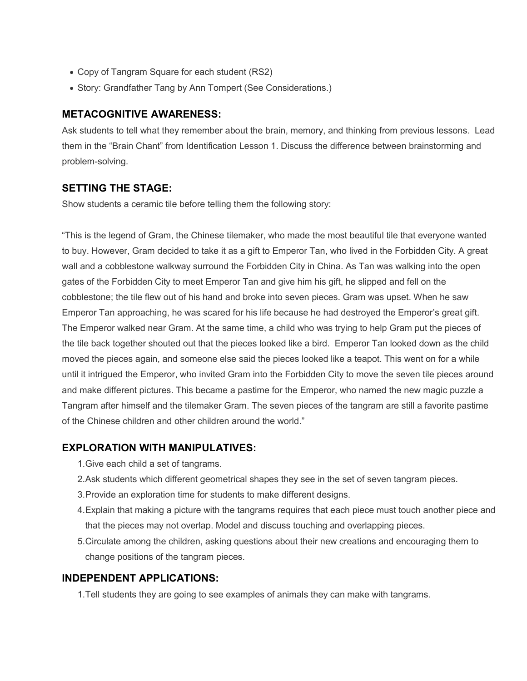- Copy of Tangram Square for each student (RS2)
- Story: Grandfather Tang by Ann Tompert (See Considerations.)

#### **METACOGNITIVE AWARENESS:**

Ask students to tell what they remember about the brain, memory, and thinking from previous lessons. Lead them in the "Brain Chant" from Identification Lesson 1. Discuss the difference between brainstorming and problem-solving.

#### **SETTING THE STAGE:**

Show students a ceramic tile before telling them the following story:

"This is the legend of Gram, the Chinese tilemaker, who made the most beautiful tile that everyone wanted to buy. However, Gram decided to take it as a gift to Emperor Tan, who lived in the Forbidden City. A great wall and a cobblestone walkway surround the Forbidden City in China. As Tan was walking into the open gates of the Forbidden City to meet Emperor Tan and give him his gift, he slipped and fell on the cobblestone; the tile flew out of his hand and broke into seven pieces. Gram was upset. When he saw Emperor Tan approaching, he was scared for his life because he had destroyed the Emperor's great gift. The Emperor walked near Gram. At the same time, a child who was trying to help Gram put the pieces of the tile back together shouted out that the pieces looked like a bird. Emperor Tan looked down as the child moved the pieces again, and someone else said the pieces looked like a teapot. This went on for a while until it intrigued the Emperor, who invited Gram into the Forbidden City to move the seven tile pieces around and make different pictures. This became a pastime for the Emperor, who named the new magic puzzle a Tangram after himself and the tilemaker Gram. The seven pieces of the tangram are still a favorite pastime of the Chinese children and other children around the world."

#### **EXPLORATION WITH MANIPULATIVES:**

- 1. Give each child a set of tangrams.
- 2. Ask students which different geometrical shapes they see in the set of seven tangram pieces.
- 3. Provide an exploration time for students to make different designs.
- 4. Explain that making a picture with the tangrams requires that each piece must touch another piece and that the pieces may not overlap. Model and discuss touching and overlapping pieces.
- 5. Circulate among the children, asking questions about their new creations and encouraging them to change positions of the tangram pieces.

#### **INDEPENDENT APPLICATIONS:**

1. Tell students they are going to see examples of animals they can make with tangrams.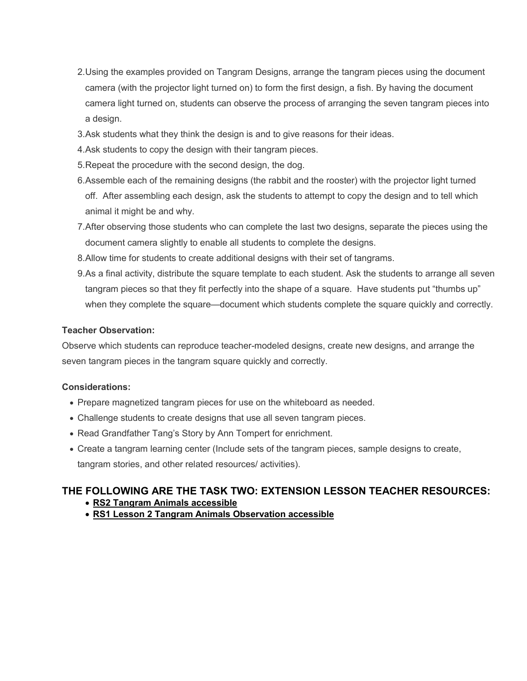- 2. Using the examples provided on Tangram Designs, arrange the tangram pieces using the document camera (with the projector light turned on) to form the first design, a fish. By having the document camera light turned on, students can observe the process of arranging the seven tangram pieces into a design.
- 3. Ask students what they think the design is and to give reasons for their ideas.
- 4. Ask students to copy the design with their tangram pieces.
- 5. Repeat the procedure with the second design, the dog.
- 6. Assemble each of the remaining designs (the rabbit and the rooster) with the projector light turned off. After assembling each design, ask the students to attempt to copy the design and to tell which animal it might be and why.
- 7. After observing those students who can complete the last two designs, separate the pieces using the document camera slightly to enable all students to complete the designs.
- 8. Allow time for students to create additional designs with their set of tangrams.
- 9.As a final activity, distribute the square template to each student. Ask the students to arrange all seven tangram pieces so that they fit perfectly into the shape of a square. Have students put "thumbs up" when they complete the square—document which students complete the square quickly and correctly.

#### **Teacher Observation:**

Observe which students can reproduce teacher-modeled designs, create new designs, and arrange the seven tangram pieces in the tangram square quickly and correctly.

#### **Considerations:**

- Prepare magnetized tangram pieces for use on the whiteboard as needed.
- Challenge students to create designs that use all seven tangram pieces.
- Read Grandfather Tang's Story by Ann Tompert for enrichment.
- Create a tangram learning center (Include sets of the tangram pieces, sample designs to create, tangram stories, and other related resources/ activities).

#### **THE FOLLOWING ARE THE TASK TWO: EXTENSION LESSON TEACHER RESOURCES:**

- **[RS2 Tangram Animals accessible](https://www.oercommons.org/courseware/related-resource/13932/download)**
- **[RS1 Lesson 2 Tangram Animals Observation accessible](https://www.oercommons.org/courseware/related-resource/13931/download)**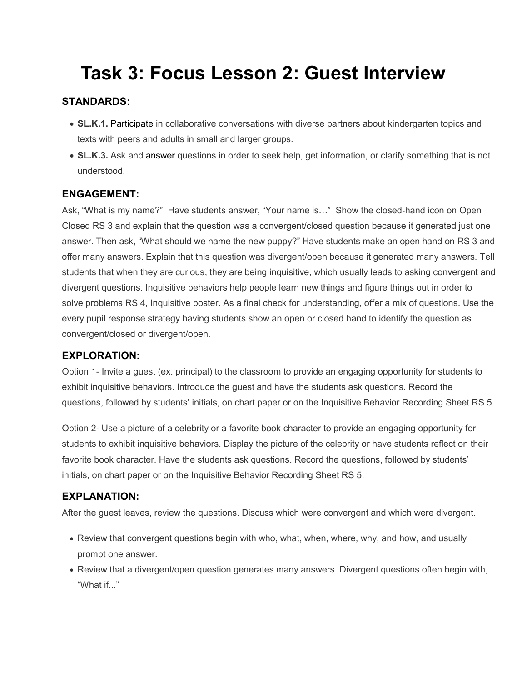# **Task 3: Focus Lesson 2: Guest Interview**

## **STANDARDS:**

- **SL.K.1.** Participate in collaborative conversations with diverse partners about kindergarten topics and texts with peers and adults in small and larger groups.
- **SL.K.3.** Ask and answer questions in order to seek help, get information, or clarify something that is not understood.

#### **ENGAGEMENT:**

Ask, "What is my name?" Have students answer, "Your name is…" Show the closed‐hand icon on Open Closed RS 3 and explain that the question was a convergent/closed question because it generated just one answer. Then ask, "What should we name the new puppy?" Have students make an open hand on RS 3 and offer many answers. Explain that this question was divergent/open because it generated many answers. Tell students that when they are curious, they are being inquisitive, which usually leads to asking convergent and divergent questions. Inquisitive behaviors help people learn new things and figure things out in order to solve problems RS 4, Inquisitive poster. As a final check for understanding, offer a mix of questions. Use the every pupil response strategy having students show an open or closed hand to identify the question as convergent/closed or divergent/open.

#### **EXPLORATION:**

Option 1- Invite a guest (ex. principal) to the classroom to provide an engaging opportunity for students to exhibit inquisitive behaviors. Introduce the guest and have the students ask questions. Record the questions, followed by students' initials, on chart paper or on the Inquisitive Behavior Recording Sheet RS 5.

Option 2- Use a picture of a celebrity or a favorite book character to provide an engaging opportunity for students to exhibit inquisitive behaviors. Display the picture of the celebrity or have students reflect on their favorite book character. Have the students ask questions. Record the questions, followed by students' initials, on chart paper or on the Inquisitive Behavior Recording Sheet RS 5.

## **EXPLANATION:**

After the guest leaves, review the questions. Discuss which were convergent and which were divergent.

- Review that convergent questions begin with who, what, when, where, why, and how, and usually prompt one answer.
- Review that a divergent/open question generates many answers. Divergent questions often begin with, "What if..."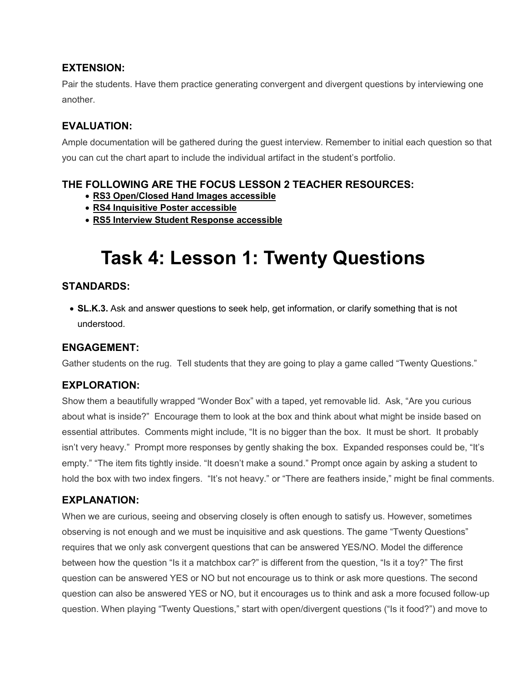#### **EXTENSION:**

Pair the students. Have them practice generating convergent and divergent questions by interviewing one another.

## **EVALUATION:**

Ample documentation will be gathered during the guest interview. Remember to initial each question so that you can cut the chart apart to include the individual artifact in the student's portfolio.

## **THE FOLLOWING ARE THE FOCUS LESSON 2 TEACHER RESOURCES:**

- **[RS3 Open/Closed Hand Images accessible](https://www.oercommons.org/courseware/related-resource/13004/download)**
- **[RS4 Inquisitive Poster accessible](https://www.oercommons.org/courseware/related-resource/13005/download)**
- **[RS5 Interview Student Response accessible](https://www.oercommons.org/courseware/related-resource/13006/download)**

# **Task 4: Lesson 1: Twenty Questions**

## **STANDARDS:**

 **SL.K.3.** Ask and answer questions to seek help, get information, or clarify something that is not understood.

## **ENGAGEMENT:**

Gather students on the rug. Tell students that they are going to play a game called "Twenty Questions."

## **EXPLORATION:**

Show them a beautifully wrapped "Wonder Box" with a taped, yet removable lid. Ask, "Are you curious about what is inside?" Encourage them to look at the box and think about what might be inside based on essential attributes. Comments might include, "It is no bigger than the box. It must be short. It probably isn't very heavy." Prompt more responses by gently shaking the box. Expanded responses could be, "It's empty." "The item fits tightly inside. "It doesn't make a sound." Prompt once again by asking a student to hold the box with two index fingers. "It's not heavy." or "There are feathers inside," might be final comments.

## **EXPLANATION:**

When we are curious, seeing and observing closely is often enough to satisfy us. However, sometimes observing is not enough and we must be inquisitive and ask questions. The game "Twenty Questions" requires that we only ask convergent questions that can be answered YES/NO. Model the difference between how the question "Is it a matchbox car?" is different from the question, "Is it a toy?" The first question can be answered YES or NO but not encourage us to think or ask more questions. The second question can also be answered YES or NO, but it encourages us to think and ask a more focused follow‐up question. When playing "Twenty Questions," start with open/divergent questions ("Is it food?") and move to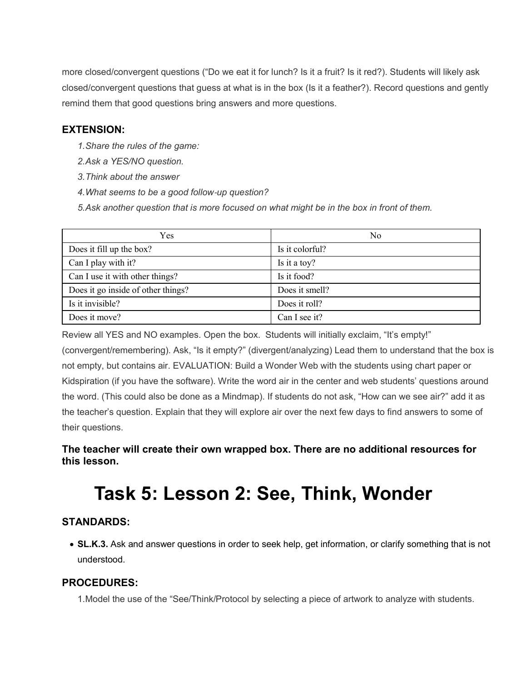more closed/convergent questions ("Do we eat it for lunch? Is it a fruit? Is it red?). Students will likely ask closed/convergent questions that guess at what is in the box (Is it a feather?). Record questions and gently remind them that good questions bring answers and more questions.

#### **EXTENSION:**

- *1. Share the rules of the game:*
- *2. Ask a YES/NO question.*
- *3. Think about the answer*
- *4. What seems to be a good follow*‐*up question?*
- *5. Ask another question that is more focused on what might be in the box in front of them.*

| Yes                                | No              |
|------------------------------------|-----------------|
| Does it fill up the box?           | Is it colorful? |
| Can I play with it?                | Is it a toy?    |
| Can I use it with other things?    | Is it food?     |
| Does it go inside of other things? | Does it smell?  |
| Is it invisible?                   | Does it roll?   |
| Does it move?                      | Can I see it?   |

Review all YES and NO examples. Open the box. Students will initially exclaim, "It's empty!"

(convergent/remembering). Ask, "Is it empty?" (divergent/analyzing) Lead them to understand that the box is not empty, but contains air. EVALUATION: Build a Wonder Web with the students using chart paper or Kidspiration (if you have the software). Write the word air in the center and web students' questions around the word. (This could also be done as a Mindmap). If students do not ask, "How can we see air?" add it as the teacher's question. Explain that they will explore air over the next few days to find answers to some of their questions.

## **The teacher will create their own wrapped box. There are no additional resources for this lesson.**

# **Task 5: Lesson 2: See, Think, Wonder**

## **STANDARDS:**

 **SL.K.3.** Ask and answer questions in order to seek help, get information, or clarify something that is not understood.

#### **PROCEDURES:**

1. Model the use of the "See/Think/Protocol by selecting a piece of artwork to analyze with students.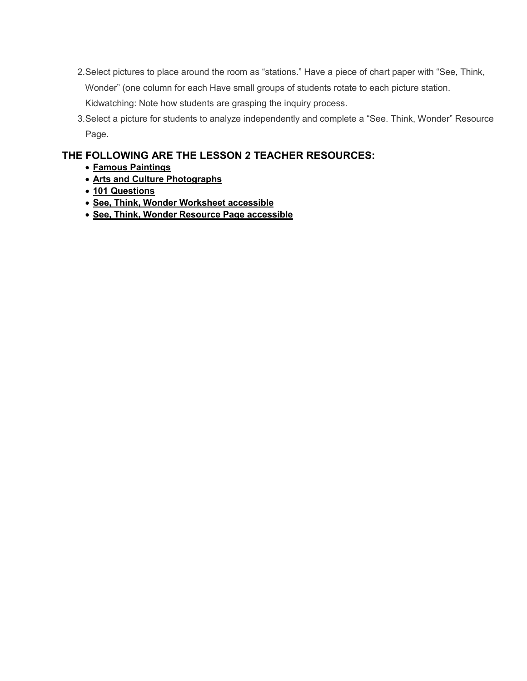- 2.Select pictures to place around the room as "stations." Have a piece of chart paper with "See, Think, Wonder" (one column for each Have small groups of students rotate to each picture station. Kidwatching: Note how students are grasping the inquiry process.
- 3. Select a picture for students to analyze independently and complete a "See. Think, Wonder" Resource Page.

#### **THE FOLLOWING ARE THE LESSON 2 TEACHER RESOURCES:**

- **[Famous Paintings](https://www.oercommons.org/courseware/related-resource/12987/view)**
- **[Arts and Culture Photographs](https://www.oercommons.org/courseware/related-resource/12988/view)**
- **[101 Questions](https://www.oercommons.org/courseware/related-resource/12989/view)**
- **[See, Think, Wonder Worksheet accessible](https://www.oercommons.org/courseware/related-resource/12986/download)**
- **[See, Think, Wonder Resource Page accessible](https://www.oercommons.org/courseware/related-resource/12990/download)**